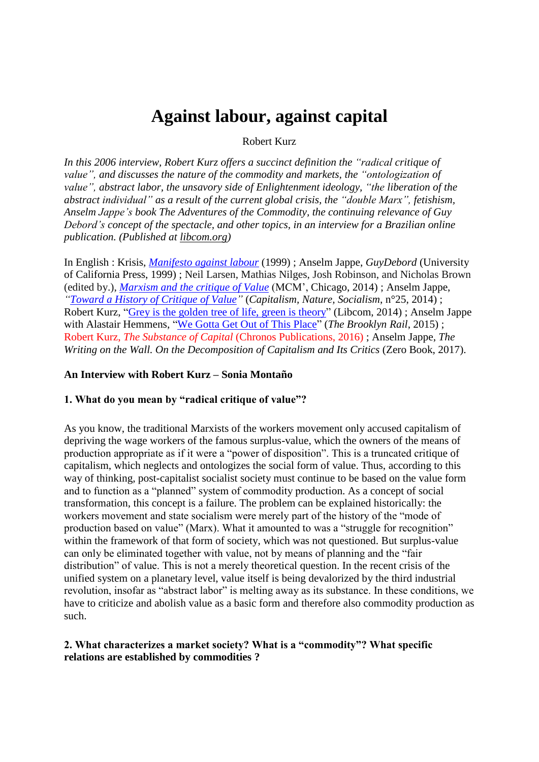# **Against labour, against capital**

### Robert Kurz

*In this 2006 interview, Robert Kurz offers a succinct definition the "radical critique of value", and discusses the nature of the commodity and markets, the "ontologization of value", abstract labor, the unsavory side of Enlightenment ideology, "the liberation of the abstract individual" as a result of the current global crisis, the "double Marx", fetishism, Anselm Jappe's book The Adventures of the Commodity, the continuing relevance of Guy Debord's concept of the spectacle, and other topics, in an interview for a Brazilian online publication. (Published at [libcom.org\)](http://libcom.org/library/robert-kurz-interviewed-sonia-monta%C3%B1o)*

In English : Krisis, *[Manifesto](http://www.krisis.org/1999/manifesto-against-labour/) against labour* (1999) ; Anselm Jappe, *GuyDebord* (University of California Press, 1999) ; Neil Larsen, Mathias Nilges, Josh Robinson, and Nicholas Brown (edited by.), *[Marxism](http://www.mcmprime.com/files/Marxism-and-the-Critique-of-Value.pdf) and the critique of Value* (MCM', Chicago, 2014) ; Anselm Jappe, *"Toward a History of [Critique](https://www.tandfonline.com/doi/abs/10.1080/10455752.2014.906820?journalCode=rcns20) of Value"* (*Capitalism, Nature, Socialism*, n°25, 2014) ; Robert Kurz, "Grey is the golden tree of life, green is [theory"](https://libcom.org/library/grey-golden-tree-life-green-theory-robert-kurz) (Libcom, 2014) ; Anselm Jappe with Alastair Hemmens, "We Gotta Get Out of This [Place"](https://brooklynrail.org/2015/09/field-notes/anselm-jappe-with-alastair-hemmens) (*The Brooklyn Rail*, 2015) ; Robert Kurz, *The Substance of Capital* (Chronos Publications, 2016) ; Anselm Jappe, *The Writing on the Wall. On the Decomposition of Capitalism and Its Critics* (Zero Book, 2017).

### **An Interview with Robert Kurz – Sonia Montaño**

## **1. What do you mean by "radical critique of value"?**

As you know, the traditional Marxists of the workers movement only accused capitalism of depriving the wage workers of the famous surplus-value, which the owners of the means of production appropriate as if it were a "power of disposition". This is a truncated critique of capitalism, which neglects and ontologizes the social form of value. Thus, according to this way of thinking, post-capitalist socialist society must continue to be based on the value form and to function as a "planned" system of commodity production. As a concept of social transformation, this concept is a failure. The problem can be explained historically: the workers movement and state socialism were merely part of the history of the "mode of production based on value" (Marx). What it amounted to was a "struggle for recognition" within the framework of that form of society, which was not questioned. But surplus-value can only be eliminated together with value, not by means of planning and the "fair distribution" of value. This is not a merely theoretical question. In the recent crisis of the unified system on a planetary level, value itself is being devalorized by the third industrial revolution, insofar as "abstract labor" is melting away as its substance. In these conditions, we have to criticize and abolish value as a basic form and therefore also commodity production as such.

# **2. What characterizes a market society? What is a "commodity"? What specific relations are established by commodities ?**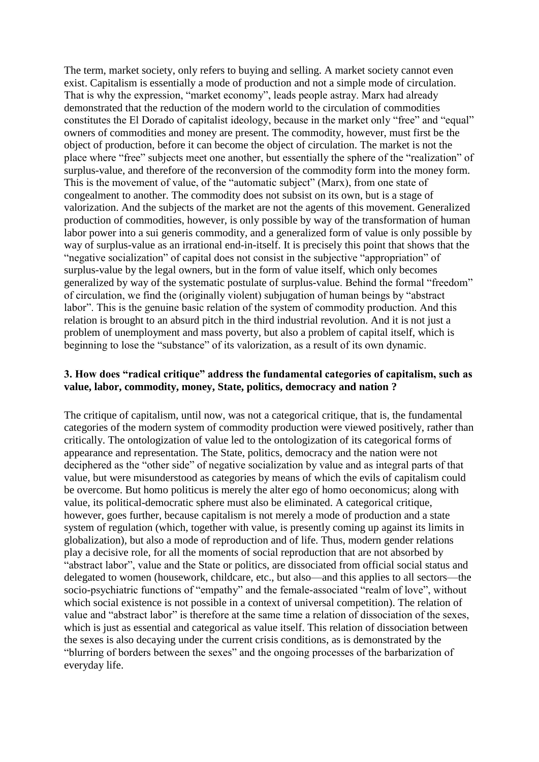The term, market society, only refers to buying and selling. A market society cannot even exist. Capitalism is essentially a mode of production and not a simple mode of circulation. That is why the expression, "market economy", leads people astray. Marx had already demonstrated that the reduction of the modern world to the circulation of commodities constitutes the El Dorado of capitalist ideology, because in the market only "free" and "equal" owners of commodities and money are present. The commodity, however, must first be the object of production, before it can become the object of circulation. The market is not the place where "free" subjects meet one another, but essentially the sphere of the "realization" of surplus-value, and therefore of the reconversion of the commodity form into the money form. This is the movement of value, of the "automatic subject" (Marx), from one state of congealment to another. The commodity does not subsist on its own, but is a stage of valorization. And the subjects of the market are not the agents of this movement. Generalized production of commodities, however, is only possible by way of the transformation of human labor power into a sui generis commodity, and a generalized form of value is only possible by way of surplus-value as an irrational end-in-itself. It is precisely this point that shows that the "negative socialization" of capital does not consist in the subjective "appropriation" of surplus-value by the legal owners, but in the form of value itself, which only becomes generalized by way of the systematic postulate of surplus-value. Behind the formal "freedom" of circulation, we find the (originally violent) subjugation of human beings by "abstract labor". This is the genuine basic relation of the system of commodity production. And this relation is brought to an absurd pitch in the third industrial revolution. And it is not just a problem of unemployment and mass poverty, but also a problem of capital itself, which is beginning to lose the "substance" of its valorization, as a result of its own dynamic.

## **3. How does "radical critique" address the fundamental categories of capitalism, such as value, labor, commodity, money, State, politics, democracy and nation ?**

The critique of capitalism, until now, was not a categorical critique, that is, the fundamental categories of the modern system of commodity production were viewed positively, rather than critically. The ontologization of value led to the ontologization of its categorical forms of appearance and representation. The State, politics, democracy and the nation were not deciphered as the "other side" of negative socialization by value and as integral parts of that value, but were misunderstood as categories by means of which the evils of capitalism could be overcome. But homo politicus is merely the alter ego of homo oeconomicus; along with value, its political-democratic sphere must also be eliminated. A categorical critique, however, goes further, because capitalism is not merely a mode of production and a state system of regulation (which, together with value, is presently coming up against its limits in globalization), but also a mode of reproduction and of life. Thus, modern gender relations play a decisive role, for all the moments of social reproduction that are not absorbed by "abstract labor", value and the State or politics, are dissociated from official social status and delegated to women (housework, childcare, etc., but also—and this applies to all sectors—the socio-psychiatric functions of "empathy" and the female-associated "realm of love", without which social existence is not possible in a context of universal competition). The relation of value and "abstract labor" is therefore at the same time a relation of dissociation of the sexes, which is just as essential and categorical as value itself. This relation of dissociation between the sexes is also decaying under the current crisis conditions, as is demonstrated by the "blurring of borders between the sexes" and the ongoing processes of the barbarization of everyday life.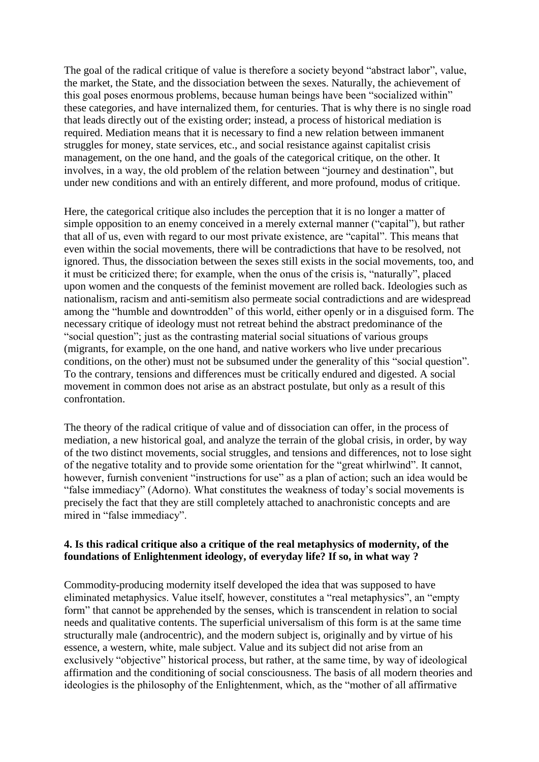The goal of the radical critique of value is therefore a society beyond "abstract labor", value, the market, the State, and the dissociation between the sexes. Naturally, the achievement of this goal poses enormous problems, because human beings have been "socialized within" these categories, and have internalized them, for centuries. That is why there is no single road that leads directly out of the existing order; instead, a process of historical mediation is required. Mediation means that it is necessary to find a new relation between immanent struggles for money, state services, etc., and social resistance against capitalist crisis management, on the one hand, and the goals of the categorical critique, on the other. It involves, in a way, the old problem of the relation between "journey and destination", but under new conditions and with an entirely different, and more profound, modus of critique.

Here, the categorical critique also includes the perception that it is no longer a matter of simple opposition to an enemy conceived in a merely external manner ("capital"), but rather that all of us, even with regard to our most private existence, are "capital". This means that even within the social movements, there will be contradictions that have to be resolved, not ignored. Thus, the dissociation between the sexes still exists in the social movements, too, and it must be criticized there; for example, when the onus of the crisis is, "naturally", placed upon women and the conquests of the feminist movement are rolled back. Ideologies such as nationalism, racism and anti-semitism also permeate social contradictions and are widespread among the "humble and downtrodden" of this world, either openly or in a disguised form. The necessary critique of ideology must not retreat behind the abstract predominance of the "social question"; just as the contrasting material social situations of various groups (migrants, for example, on the one hand, and native workers who live under precarious conditions, on the other) must not be subsumed under the generality of this "social question". To the contrary, tensions and differences must be critically endured and digested. A social movement in common does not arise as an abstract postulate, but only as a result of this confrontation.

The theory of the radical critique of value and of dissociation can offer, in the process of mediation, a new historical goal, and analyze the terrain of the global crisis, in order, by way of the two distinct movements, social struggles, and tensions and differences, not to lose sight of the negative totality and to provide some orientation for the "great whirlwind". It cannot, however, furnish convenient "instructions for use" as a plan of action; such an idea would be "false immediacy" (Adorno). What constitutes the weakness of today's social movements is precisely the fact that they are still completely attached to anachronistic concepts and are mired in "false immediacy".

# **4. Is this radical critique also a critique of the real metaphysics of modernity, of the foundations of Enlightenment ideology, of everyday life? If so, in what way ?**

Commodity-producing modernity itself developed the idea that was supposed to have eliminated metaphysics. Value itself, however, constitutes a "real metaphysics", an "empty form" that cannot be apprehended by the senses, which is transcendent in relation to social needs and qualitative contents. The superficial universalism of this form is at the same time structurally male (androcentric), and the modern subject is, originally and by virtue of his essence, a western, white, male subject. Value and its subject did not arise from an exclusively "objective" historical process, but rather, at the same time, by way of ideological affirmation and the conditioning of social consciousness. The basis of all modern theories and ideologies is the philosophy of the Enlightenment, which, as the "mother of all affirmative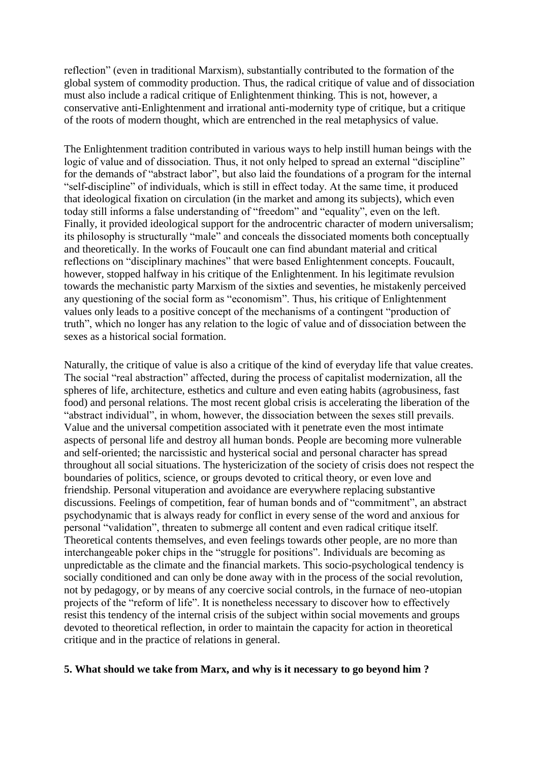reflection" (even in traditional Marxism), substantially contributed to the formation of the global system of commodity production. Thus, the radical critique of value and of dissociation must also include a radical critique of Enlightenment thinking. This is not, however, a conservative anti-Enlightenment and irrational anti-modernity type of critique, but a critique of the roots of modern thought, which are entrenched in the real metaphysics of value.

The Enlightenment tradition contributed in various ways to help instill human beings with the logic of value and of dissociation. Thus, it not only helped to spread an external "discipline" for the demands of "abstract labor", but also laid the foundations of a program for the internal "self-discipline" of individuals, which is still in effect today. At the same time, it produced that ideological fixation on circulation (in the market and among its subjects), which even today still informs a false understanding of "freedom" and "equality", even on the left. Finally, it provided ideological support for the androcentric character of modern universalism; its philosophy is structurally "male" and conceals the dissociated moments both conceptually and theoretically. In the works of Foucault one can find abundant material and critical reflections on "disciplinary machines" that were based Enlightenment concepts. Foucault, however, stopped halfway in his critique of the Enlightenment. In his legitimate revulsion towards the mechanistic party Marxism of the sixties and seventies, he mistakenly perceived any questioning of the social form as "economism". Thus, his critique of Enlightenment values only leads to a positive concept of the mechanisms of a contingent "production of truth", which no longer has any relation to the logic of value and of dissociation between the sexes as a historical social formation.

Naturally, the critique of value is also a critique of the kind of everyday life that value creates. The social "real abstraction" affected, during the process of capitalist modernization, all the spheres of life, architecture, esthetics and culture and even eating habits (agrobusiness, fast food) and personal relations. The most recent global crisis is accelerating the liberation of the "abstract individual", in whom, however, the dissociation between the sexes still prevails. Value and the universal competition associated with it penetrate even the most intimate aspects of personal life and destroy all human bonds. People are becoming more vulnerable and self-oriented; the narcissistic and hysterical social and personal character has spread throughout all social situations. The hystericization of the society of crisis does not respect the boundaries of politics, science, or groups devoted to critical theory, or even love and friendship. Personal vituperation and avoidance are everywhere replacing substantive discussions. Feelings of competition, fear of human bonds and of "commitment", an abstract psychodynamic that is always ready for conflict in every sense of the word and anxious for personal "validation", threaten to submerge all content and even radical critique itself. Theoretical contents themselves, and even feelings towards other people, are no more than interchangeable poker chips in the "struggle for positions". Individuals are becoming as unpredictable as the climate and the financial markets. This socio-psychological tendency is socially conditioned and can only be done away with in the process of the social revolution, not by pedagogy, or by means of any coercive social controls, in the furnace of neo-utopian projects of the "reform of life". It is nonetheless necessary to discover how to effectively resist this tendency of the internal crisis of the subject within social movements and groups devoted to theoretical reflection, in order to maintain the capacity for action in theoretical critique and in the practice of relations in general.

# **5. What should we take from Marx, and why is it necessary to go beyond him ?**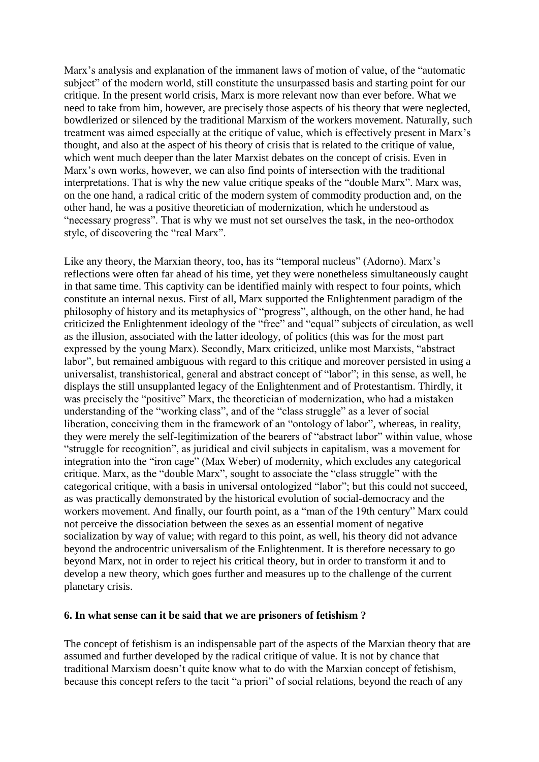Marx's analysis and explanation of the immanent laws of motion of value, of the "automatic subject" of the modern world, still constitute the unsurpassed basis and starting point for our critique. In the present world crisis, Marx is more relevant now than ever before. What we need to take from him, however, are precisely those aspects of his theory that were neglected, bowdlerized or silenced by the traditional Marxism of the workers movement. Naturally, such treatment was aimed especially at the critique of value, which is effectively present in Marx's thought, and also at the aspect of his theory of crisis that is related to the critique of value, which went much deeper than the later Marxist debates on the concept of crisis. Even in Marx's own works, however, we can also find points of intersection with the traditional interpretations. That is why the new value critique speaks of the "double Marx". Marx was, on the one hand, a radical critic of the modern system of commodity production and, on the other hand, he was a positive theoretician of modernization, which he understood as "necessary progress". That is why we must not set ourselves the task, in the neo-orthodox style, of discovering the "real Marx".

Like any theory, the Marxian theory, too, has its "temporal nucleus" (Adorno). Marx's reflections were often far ahead of his time, yet they were nonetheless simultaneously caught in that same time. This captivity can be identified mainly with respect to four points, which constitute an internal nexus. First of all, Marx supported the Enlightenment paradigm of the philosophy of history and its metaphysics of "progress", although, on the other hand, he had criticized the Enlightenment ideology of the "free" and "equal" subjects of circulation, as well as the illusion, associated with the latter ideology, of politics (this was for the most part expressed by the young Marx). Secondly, Marx criticized, unlike most Marxists, "abstract labor", but remained ambiguous with regard to this critique and moreover persisted in using a universalist, transhistorical, general and abstract concept of "labor"; in this sense, as well, he displays the still unsupplanted legacy of the Enlightenment and of Protestantism. Thirdly, it was precisely the "positive" Marx, the theoretician of modernization, who had a mistaken understanding of the "working class", and of the "class struggle" as a lever of social liberation, conceiving them in the framework of an "ontology of labor", whereas, in reality, they were merely the self-legitimization of the bearers of "abstract labor" within value, whose "struggle for recognition", as juridical and civil subjects in capitalism, was a movement for integration into the "iron cage" (Max Weber) of modernity, which excludes any categorical critique. Marx, as the "double Marx", sought to associate the "class struggle" with the categorical critique, with a basis in universal ontologized "labor"; but this could not succeed, as was practically demonstrated by the historical evolution of social-democracy and the workers movement. And finally, our fourth point, as a "man of the 19th century" Marx could not perceive the dissociation between the sexes as an essential moment of negative socialization by way of value; with regard to this point, as well, his theory did not advance beyond the androcentric universalism of the Enlightenment. It is therefore necessary to go beyond Marx, not in order to reject his critical theory, but in order to transform it and to develop a new theory, which goes further and measures up to the challenge of the current planetary crisis.

### **6. In what sense can it be said that we are prisoners of fetishism ?**

The concept of fetishism is an indispensable part of the aspects of the Marxian theory that are assumed and further developed by the radical critique of value. It is not by chance that traditional Marxism doesn't quite know what to do with the Marxian concept of fetishism, because this concept refers to the tacit "a priori" of social relations, beyond the reach of any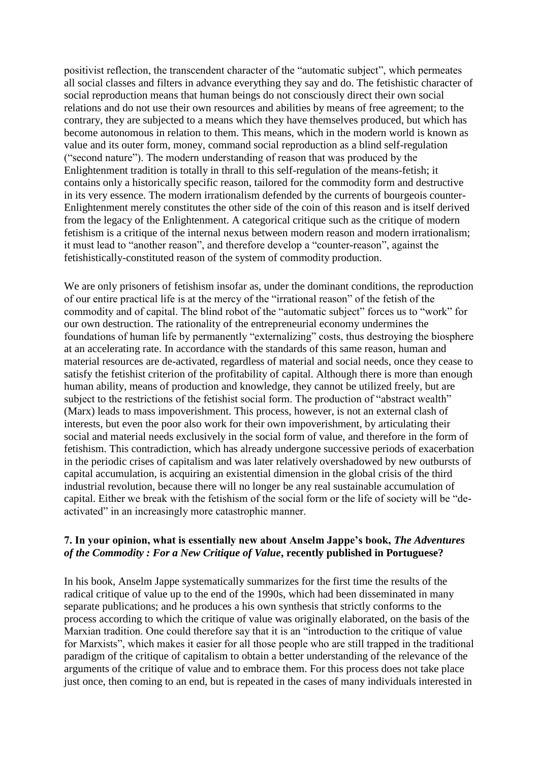positivist reflection, the transcendent character of the "automatic subject", which permeates all social classes and filters in advance everything they say and do. The fetishistic character of social reproduction means that human beings do not consciously direct their own social relations and do not use their own resources and abilities by means of free agreement; to the contrary, they are subjected to a means which they have themselves produced, but which has become autonomous in relation to them. This means, which in the modern world is known as value and its outer form, money, command social reproduction as a blind self-regulation ("second nature"). The modern understanding of reason that was produced by the Enlightenment tradition is totally in thrall to this self-regulation of the means-fetish; it contains only a historically specific reason, tailored for the commodity form and destructive in its very essence. The modern irrationalism defended by the currents of bourgeois counter-Enlightenment merely constitutes the other side of the coin of this reason and is itself derived from the legacy of the Enlightenment. A categorical critique such as the critique of modern fetishism is a critique of the internal nexus between modern reason and modern irrationalism; it must lead to "another reason", and therefore develop a "counter-reason", against the fetishistically-constituted reason of the system of commodity production.

We are only prisoners of fetishism insofar as, under the dominant conditions, the reproduction of our entire practical life is at the mercy of the "irrational reason" of the fetish of the commodity and of capital. The blind robot of the "automatic subject" forces us to "work" for our own destruction. The rationality of the entrepreneurial economy undermines the foundations of human life by permanently "externalizing" costs, thus destroying the biosphere at an accelerating rate. In accordance with the standards of this same reason, human and material resources are de-activated, regardless of material and social needs, once they cease to satisfy the fetishist criterion of the profitability of capital. Although there is more than enough human ability, means of production and knowledge, they cannot be utilized freely, but are subject to the restrictions of the fetishist social form. The production of "abstract wealth" (Marx) leads to mass impoverishment. This process, however, is not an external clash of interests, but even the poor also work for their own impoverishment, by articulating their social and material needs exclusively in the social form of value, and therefore in the form of fetishism. This contradiction, which has already undergone successive periods of exacerbation in the periodic crises of capitalism and was later relatively overshadowed by new outbursts of capital accumulation, is acquiring an existential dimension in the global crisis of the third industrial revolution, because there will no longer be any real sustainable accumulation of capital. Either we break with the fetishism of the social form or the life of society will be "deactivated" in an increasingly more catastrophic manner.

# **7. In your opinion, what is essentially new about Anselm Jappe's book,** *The Adventures of the Commodity : For a New Critique of Value***, recently published in Portuguese?**

In his book, Anselm Jappe systematically summarizes for the first time the results of the radical critique of value up to the end of the 1990s, which had been disseminated in many separate publications; and he produces a his own synthesis that strictly conforms to the process according to which the critique of value was originally elaborated, on the basis of the Marxian tradition. One could therefore say that it is an "introduction to the critique of value for Marxists", which makes it easier for all those people who are still trapped in the traditional paradigm of the critique of capitalism to obtain a better understanding of the relevance of the arguments of the critique of value and to embrace them. For this process does not take place just once, then coming to an end, but is repeated in the cases of many individuals interested in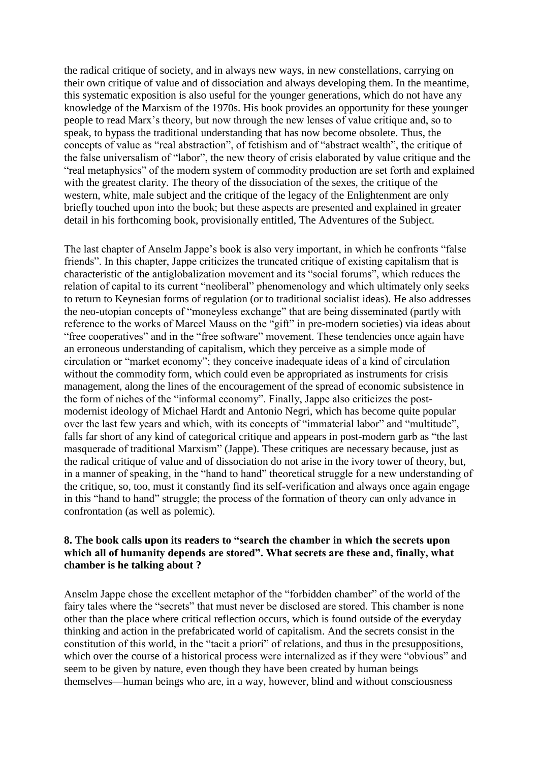the radical critique of society, and in always new ways, in new constellations, carrying on their own critique of value and of dissociation and always developing them. In the meantime, this systematic exposition is also useful for the younger generations, which do not have any knowledge of the Marxism of the 1970s. His book provides an opportunity for these younger people to read Marx's theory, but now through the new lenses of value critique and, so to speak, to bypass the traditional understanding that has now become obsolete. Thus, the concepts of value as "real abstraction", of fetishism and of "abstract wealth", the critique of the false universalism of "labor", the new theory of crisis elaborated by value critique and the "real metaphysics" of the modern system of commodity production are set forth and explained with the greatest clarity. The theory of the dissociation of the sexes, the critique of the western, white, male subject and the critique of the legacy of the Enlightenment are only briefly touched upon into the book; but these aspects are presented and explained in greater detail in his forthcoming book, provisionally entitled, The Adventures of the Subject.

The last chapter of Anselm Jappe's book is also very important, in which he confronts "false friends". In this chapter, Jappe criticizes the truncated critique of existing capitalism that is characteristic of the antiglobalization movement and its "social forums", which reduces the relation of capital to its current "neoliberal" phenomenology and which ultimately only seeks to return to Keynesian forms of regulation (or to traditional socialist ideas). He also addresses the neo-utopian concepts of "moneyless exchange" that are being disseminated (partly with reference to the works of Marcel Mauss on the "gift" in pre-modern societies) via ideas about "free cooperatives" and in the "free software" movement. These tendencies once again have an erroneous understanding of capitalism, which they perceive as a simple mode of circulation or "market economy"; they conceive inadequate ideas of a kind of circulation without the commodity form, which could even be appropriated as instruments for crisis management, along the lines of the encouragement of the spread of economic subsistence in the form of niches of the "informal economy". Finally, Jappe also criticizes the postmodernist ideology of Michael Hardt and Antonio Negri, which has become quite popular over the last few years and which, with its concepts of "immaterial labor" and "multitude", falls far short of any kind of categorical critique and appears in post-modern garb as "the last masquerade of traditional Marxism" (Jappe). These critiques are necessary because, just as the radical critique of value and of dissociation do not arise in the ivory tower of theory, but, in a manner of speaking, in the "hand to hand" theoretical struggle for a new understanding of the critique, so, too, must it constantly find its self-verification and always once again engage in this "hand to hand" struggle; the process of the formation of theory can only advance in confrontation (as well as polemic).

# **8. The book calls upon its readers to "search the chamber in which the secrets upon which all of humanity depends are stored". What secrets are these and, finally, what chamber is he talking about ?**

Anselm Jappe chose the excellent metaphor of the "forbidden chamber" of the world of the fairy tales where the "secrets" that must never be disclosed are stored. This chamber is none other than the place where critical reflection occurs, which is found outside of the everyday thinking and action in the prefabricated world of capitalism. And the secrets consist in the constitution of this world, in the "tacit a priori" of relations, and thus in the presuppositions, which over the course of a historical process were internalized as if they were "obvious" and seem to be given by nature, even though they have been created by human beings themselves—human beings who are, in a way, however, blind and without consciousness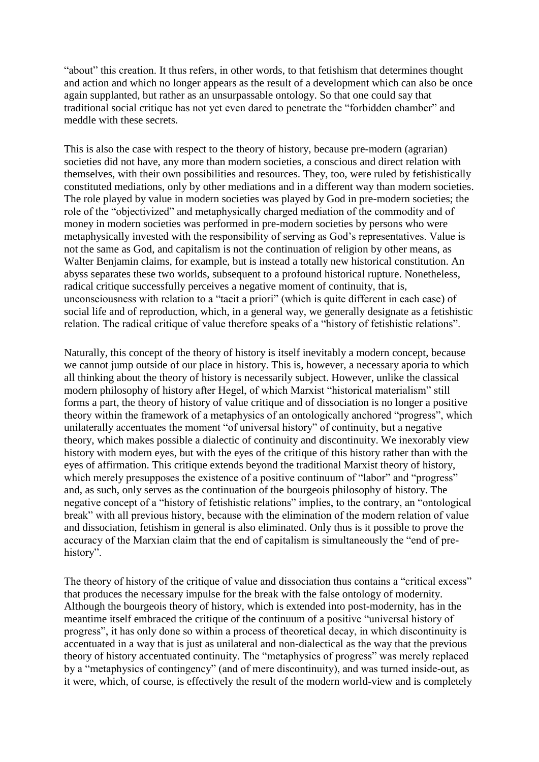"about" this creation. It thus refers, in other words, to that fetishism that determines thought and action and which no longer appears as the result of a development which can also be once again supplanted, but rather as an unsurpassable ontology. So that one could say that traditional social critique has not yet even dared to penetrate the "forbidden chamber" and meddle with these secrets.

This is also the case with respect to the theory of history, because pre-modern (agrarian) societies did not have, any more than modern societies, a conscious and direct relation with themselves, with their own possibilities and resources. They, too, were ruled by fetishistically constituted mediations, only by other mediations and in a different way than modern societies. The role played by value in modern societies was played by God in pre-modern societies; the role of the "objectivized" and metaphysically charged mediation of the commodity and of money in modern societies was performed in pre-modern societies by persons who were metaphysically invested with the responsibility of serving as God's representatives. Value is not the same as God, and capitalism is not the continuation of religion by other means, as Walter Benjamin claims, for example, but is instead a totally new historical constitution. An abyss separates these two worlds, subsequent to a profound historical rupture. Nonetheless, radical critique successfully perceives a negative moment of continuity, that is, unconsciousness with relation to a "tacit a priori" (which is quite different in each case) of social life and of reproduction, which, in a general way, we generally designate as a fetishistic relation. The radical critique of value therefore speaks of a "history of fetishistic relations".

Naturally, this concept of the theory of history is itself inevitably a modern concept, because we cannot jump outside of our place in history. This is, however, a necessary aporia to which all thinking about the theory of history is necessarily subject. However, unlike the classical modern philosophy of history after Hegel, of which Marxist "historical materialism" still forms a part, the theory of history of value critique and of dissociation is no longer a positive theory within the framework of a metaphysics of an ontologically anchored "progress", which unilaterally accentuates the moment "of universal history" of continuity, but a negative theory, which makes possible a dialectic of continuity and discontinuity. We inexorably view history with modern eyes, but with the eyes of the critique of this history rather than with the eyes of affirmation. This critique extends beyond the traditional Marxist theory of history, which merely presupposes the existence of a positive continuum of "labor" and "progress" and, as such, only serves as the continuation of the bourgeois philosophy of history. The negative concept of a "history of fetishistic relations" implies, to the contrary, an "ontological break" with all previous history, because with the elimination of the modern relation of value and dissociation, fetishism in general is also eliminated. Only thus is it possible to prove the accuracy of the Marxian claim that the end of capitalism is simultaneously the "end of prehistory".

The theory of history of the critique of value and dissociation thus contains a "critical excess" that produces the necessary impulse for the break with the false ontology of modernity. Although the bourgeois theory of history, which is extended into post-modernity, has in the meantime itself embraced the critique of the continuum of a positive "universal history of progress", it has only done so within a process of theoretical decay, in which discontinuity is accentuated in a way that is just as unilateral and non-dialectical as the way that the previous theory of history accentuated continuity. The "metaphysics of progress" was merely replaced by a "metaphysics of contingency" (and of mere discontinuity), and was turned inside-out, as it were, which, of course, is effectively the result of the modern world-view and is completely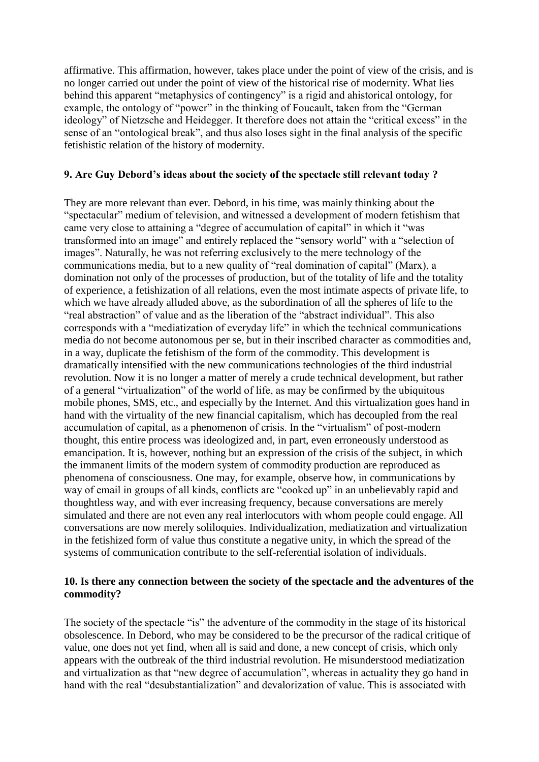affirmative. This affirmation, however, takes place under the point of view of the crisis, and is no longer carried out under the point of view of the historical rise of modernity. What lies behind this apparent "metaphysics of contingency" is a rigid and ahistorical ontology, for example, the ontology of "power" in the thinking of Foucault, taken from the "German ideology" of Nietzsche and Heidegger. It therefore does not attain the "critical excess" in the sense of an "ontological break", and thus also loses sight in the final analysis of the specific fetishistic relation of the history of modernity.

# **9. Are Guy Debord's ideas about the society of the spectacle still relevant today ?**

They are more relevant than ever. Debord, in his time, was mainly thinking about the "spectacular" medium of television, and witnessed a development of modern fetishism that came very close to attaining a "degree of accumulation of capital" in which it "was transformed into an image" and entirely replaced the "sensory world" with a "selection of images". Naturally, he was not referring exclusively to the mere technology of the communications media, but to a new quality of "real domination of capital" (Marx), a domination not only of the processes of production, but of the totality of life and the totality of experience, a fetishization of all relations, even the most intimate aspects of private life, to which we have already alluded above, as the subordination of all the spheres of life to the "real abstraction" of value and as the liberation of the "abstract individual". This also corresponds with a "mediatization of everyday life" in which the technical communications media do not become autonomous per se, but in their inscribed character as commodities and, in a way, duplicate the fetishism of the form of the commodity. This development is dramatically intensified with the new communications technologies of the third industrial revolution. Now it is no longer a matter of merely a crude technical development, but rather of a general "virtualization" of the world of life, as may be confirmed by the ubiquitous mobile phones, SMS, etc., and especially by the Internet. And this virtualization goes hand in hand with the virtuality of the new financial capitalism, which has decoupled from the real accumulation of capital, as a phenomenon of crisis. In the "virtualism" of post-modern thought, this entire process was ideologized and, in part, even erroneously understood as emancipation. It is, however, nothing but an expression of the crisis of the subject, in which the immanent limits of the modern system of commodity production are reproduced as phenomena of consciousness. One may, for example, observe how, in communications by way of email in groups of all kinds, conflicts are "cooked up" in an unbelievably rapid and thoughtless way, and with ever increasing frequency, because conversations are merely simulated and there are not even any real interlocutors with whom people could engage. All conversations are now merely soliloquies. Individualization, mediatization and virtualization in the fetishized form of value thus constitute a negative unity, in which the spread of the systems of communication contribute to the self-referential isolation of individuals.

# **10. Is there any connection between the society of the spectacle and the adventures of the commodity?**

The society of the spectacle "is" the adventure of the commodity in the stage of its historical obsolescence. In Debord, who may be considered to be the precursor of the radical critique of value, one does not yet find, when all is said and done, a new concept of crisis, which only appears with the outbreak of the third industrial revolution. He misunderstood mediatization and virtualization as that "new degree of accumulation", whereas in actuality they go hand in hand with the real "desubstantialization" and devalorization of value. This is associated with